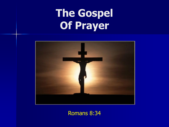

Romans 8:34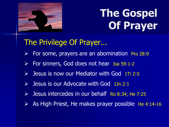

### The Privilege Of Prayer...

- $\triangleright$  For some, prayers are an abomination Pro 28:9
- ▶ For sinners, God does not hear Isa 59:1-2
- $\triangleright$  Jesus is now our Mediator with God 1Ti 2:5
- $\triangleright$  Jesus is our Advocate with God 1Jn 2:1
- Solution Jesus intercedes in our behalf Ro 8:34; He 7:25
- $\triangleright$  As High Priest, He makes prayer possible He 4:14-16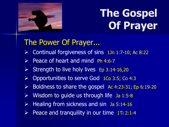

### The Power Of Prayer...

- $\triangleright$  Continual forgiveness of sins 1Jn 1:7-10; Ac 8:22
- $\triangleright$  Peace of heart and mind Ph 4:6-7
- $\triangleright$  Strength to live holy lives Ep 3:14-16,20
- Opportunities to serve God 1Co 3:5; Co 4:3
- $\triangleright$  Boldness to share the gospel Ac 4:23-31; Ep 6:19-20
- $\triangleright$  Wisdom to guide us through life Ja 1:5-8
- $\triangleright$  Healing from sickness and sin Ja 5:14-16
- Peace and tranquility in our time 1Ti 2:1-4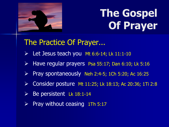

#### The Practice Of Prayer...

- $\triangleright$  Let Jesus teach you Mt 6:6-14; Lk 11:1-10
- $\triangleright$  Have regular prayers Psa 55:17; Dan 6:10; Lk 5:16
- Pray spontaneously Neh 2:4-5; 1Ch 5:20; Ac 16:25
- Consider posture Mt 11:25; Lk 18:13; Ac 20:36; 1Ti 2:8
- Be persistent Lk 18:1-14
- $\triangleright$  Pray without ceasing 1Th 5:17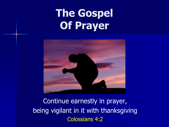

Continue earnestly in prayer, being vigilant in it with thanksgiving Colossians 4:2